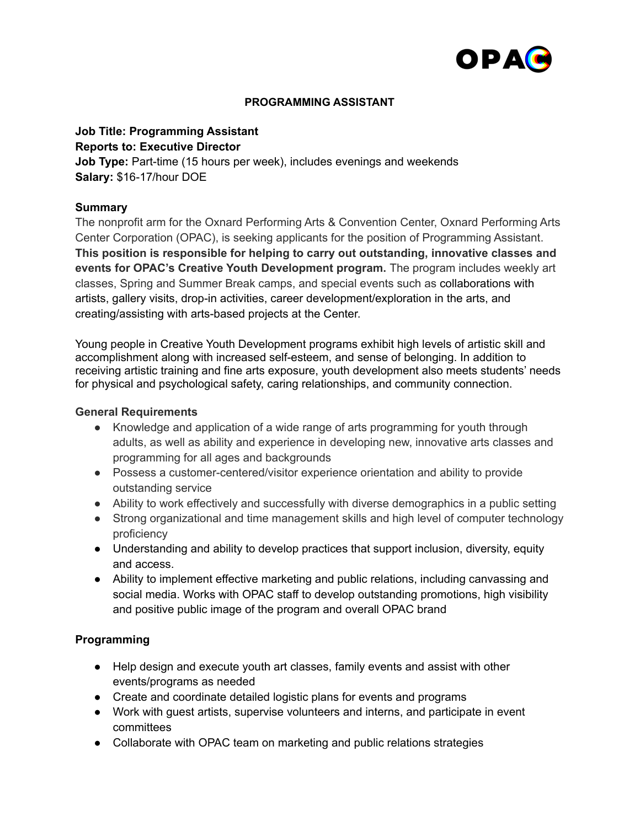

### **PROGRAMMING ASSISTANT**

### **Job Title: Programming Assistant Reports to: Executive Director**

**Job Type:** Part-time (15 hours per week), includes evenings and weekends **Salary:** \$16-17/hour DOE

## **Summary**

The nonprofit arm for the Oxnard Performing Arts & Convention Center, Oxnard Performing Arts Center Corporation (OPAC), is seeking applicants for the position of Programming Assistant. **This position is responsible for helping to carry out outstanding, innovative classes and events for OPAC's Creative Youth Development program.** The program includes weekly art classes, Spring and Summer Break camps, and special events such as collaborations with artists, gallery visits, drop-in activities, career development/exploration in the arts, and creating/assisting with arts-based projects at the Center.

Young people in Creative Youth Development programs exhibit high levels of artistic skill and accomplishment along with increased self-esteem, and sense of belonging. In addition to receiving artistic training and fine arts exposure, youth development also meets students' needs for physical and psychological safety, caring relationships, and community connection.

### **General Requirements**

- Knowledge and application of a wide range of arts programming for youth through adults, as well as ability and experience in developing new, innovative arts classes and programming for all ages and backgrounds
- Possess a customer-centered/visitor experience orientation and ability to provide outstanding service
- Ability to work effectively and successfully with diverse demographics in a public setting
- Strong organizational and time management skills and high level of computer technology proficiency
- Understanding and ability to develop practices that support inclusion, diversity, equity and access.
- Ability to implement effective marketing and public relations, including canvassing and social media. Works with OPAC staff to develop outstanding promotions, high visibility and positive public image of the program and overall OPAC brand

## **Programming**

- Help design and execute youth art classes, family events and assist with other events/programs as needed
- Create and coordinate detailed logistic plans for events and programs
- Work with guest artists, supervise volunteers and interns, and participate in event committees
- Collaborate with OPAC team on marketing and public relations strategies